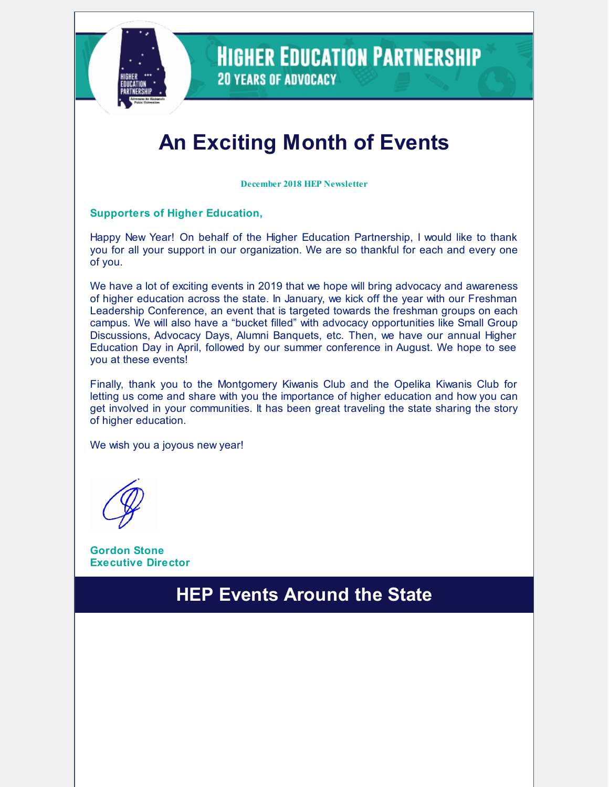

**HIGHER EDUCATION PARTNERSHIP 20 YEARS OF ADVOCACY** 

# **An Exciting Month of Events**

**December 2018 HEP Newsletter**

#### **Supporters of Higher Education,**

Happy New Year! On behalf of the Higher Education Partnership, I would like to thank you for all your support in our organization. We are so thankful for each and every one of you.

We have a lot of exciting events in 2019 that we hope will bring advocacy and awareness of higher education across the state. In January, we kick off the year with our Freshman Leadership Conference, an event that is targeted towards the freshman groups on each campus. We will also have a "bucket filled" with advocacy opportunities like Small Group Discussions, Advocacy Days, Alumni Banquets, etc. Then, we have our annual Higher Education Day in April, followed by our summer conference in August. We hope to see you at these events!

Finally, thank you to the Montgomery Kiwanis Club and the Opelika Kiwanis Club for letting us come and share with you the importance of higher education and how you can get involved in your communities. It has been great traveling the state sharing the story of higher education.

We wish you a joyous new year!

**Gordon Stone Executive Director**

### **HEP Events Around the State**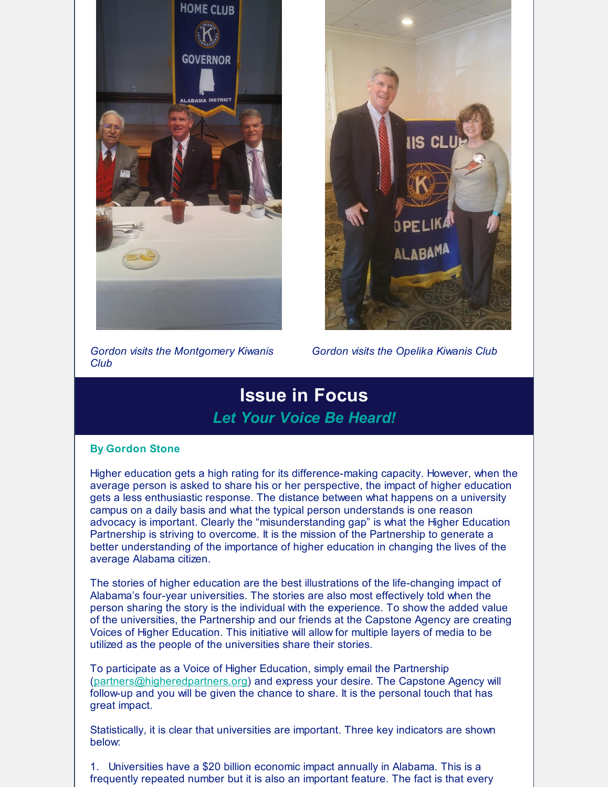



*Gordon visits the Montgomery Kiwanis Club*

*Gordon visits the Opelika Kiwanis Club*

### **Issue in Focus** *Let Your Voice Be Heard!*

#### **By Gordon Stone**

Higher education gets a high rating for its difference-making capacity. However, when the average person is asked to share his or her perspective, the impact of higher education gets a less enthusiastic response. The distance between what happens on a university campus on a daily basis and what the typical person understands is one reason advocacy is important. Clearly the "misunderstanding gap" is what the Higher Education Partnership is striving to overcome. It is the mission of the Partnership to generate a better understanding of the importance of higher education in changing the lives of the average Alabama citizen.

The stories of higher education are the best illustrations of the life-changing impact of Alabama's four-year universities. The stories are also most effectively told when the person sharing the story is the individual with the experience. To show the added value of the universities, the Partnership and our friends at the Capstone Agency are creating Voices of Higher Education. This initiative will allow for multiple layers of media to be utilized as the people of the universities share their stories.

To participate as a Voice of Higher Education, simply email the Partnership [\(partners@higheredpartners.org](mailto:partners@higheredpartners.org)) and express your desire. The Capstone Agency will follow-up and you will be given the chance to share. It is the personal touch that has great impact.

Statistically, it is clear that universities are important. Three key indicators are shown below:

1. Universities have a \$20 billion economic impact annually in Alabama. This is a frequently repeated number but it is also an important feature. The fact is that every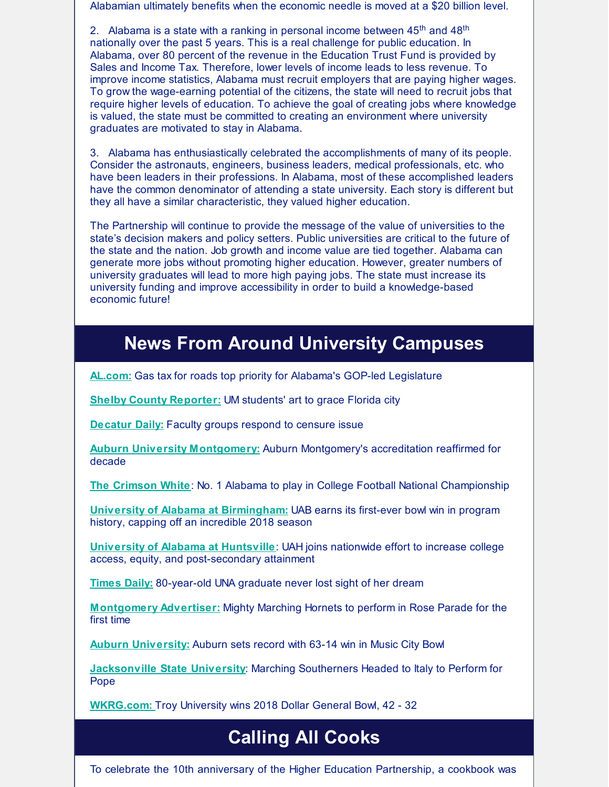Alabamian ultimately benefits when the economic needle is moved at a \$20 billion level.

2. Alabama is a state with a ranking in personal income between  $45<sup>th</sup>$  and  $48<sup>th</sup>$ nationally over the past 5 years. This is a real challenge for public education. In Alabama, over 80 percent of the revenue in the Education Trust Fund is provided by Sales and Income Tax. Therefore, lower levels of income leads to less revenue. To improve income statistics, Alabama must recruit employers that are paying higher wages. To grow the wage-earning potential of the citizens, the state will need to recruit jobs that require higher levels of education. To achieve the goal of creating jobs where knowledge is valued, the state must be committed to creating an environment where university graduates are motivated to stay in Alabama.

3. Alabama has enthusiastically celebrated the accomplishments of many of its people. Consider the astronauts, engineers, business leaders, medical professionals, etc. who have been leaders in their professions. In Alabama, most of these accomplished leaders have the common denominator of attending a state university. Each story is different but they all have a similar characteristic, they valued higher education.

The Partnership will continue to provide the message of the value of universities to the state's decision makers and policy setters. Public universities are critical to the future of the state and the nation. Job growth and income value are tied together. Alabama can generate more jobs without promoting higher education. However, greater numbers of university graduates will lead to more high paying jobs. The state must increase its university funding and improve accessibility in order to build a knowledge-based economic future!

#### **News From Around University Campuses**

**[AL.com:](https://www.al.com/news/2018/11/gas-tax-for-roads-top-priority-for-alabamas-gop-led-legislature.html)** Gas tax for roads top priority for Alabama's GOP-led Legislature

**Shelby County [Reporter](https://www.shelbycountyreporter.com/2018/12/18/um-students-art-to-grace-florida-city/)[:](https://www.al.com/news/index.ssf/2018/09/alabama_university_lands_near.html)** UM students' art to grace Florida city

**[Decatur](https://www.decaturdaily.com/news/local/faculty-groups-respond-to-censure-issue/article_6b2a9539-7afc-5d46-8f1e-218f42a63000.html) Dail[y:](https://www.montgomeryadvertiser.com/picture-gallery/news/politics/2018/10/03/walt-maddox-alabama-state-university-asu/1510718002/)** Faculty groups respond to censure issue

**Auburn University [Montgomery:](https://www.wsfa.com/2018/12/12/auburn-montgomerys-accreditation-reaffirmed-decade/)** Auburn Montgomery's accreditation reaffirmed for decade

**The [Crimson](https://cw.ua.edu/49384/top-stories/no-1-alabama-to-play-in-college-football-national-championship/) White**: No. 1 Alabama to play in College Football National Championship

**University of Alabama at [Birmingham](https://www.sbnation.com/college-football/2018/12/18/18147592/uab-niu-boca-raton-bowl-score-results)[:](https://www.montgomeryadvertiser.com/story/news/2018/10/10/alabama-appleseed-report-alabama-court-fines-fees-counter-public-safety-aims/1588291002/)** UAB earns its first-ever bowl win in program history, capping off an incredible 2018 season

**[University](https://www.uah.edu/news/campus/uah-joins-nationwide-effort-to-increase-college-access-equity-and-postsecondary-attainment) of Alabama at Huntsville**: UAH joins nationwide effort to increase college access, equity, and post-secondary attainment

**[Times](https://www.timesdaily.com/news/education/year-old-una-graduate-never-lost-sight-of-her-dream/article_322855f9-c555-51ef-a1bf-7a9a84066d72.html) Daily:** 80-year-old UNA graduate never lost sight of her dream

**[Montgomery](https://www.montgomeryadvertiser.com/story/news/2018/12/27/mighty-marching-hornets-perform-rose-parade-alabama-state-university/2347341002/) Advertiser:** Mighty Marching Hornets to perform in Rose Parade for the first time

**Auburn [University:](https://auburntigers.com/news/2018/12/28/football-auburn-sets-record-with-63-14-win-in-music-city-bowl.aspx)** Auburn sets record with 63-14 win in Music City Bowl

**[Jacksonville](http://www.jsu.edu/news/articles/2018/12/marching-southerners-headed-to-italy-to-perform-for-pope.html) State University**: Marching Southerners Headed to Italy to Perform for Pope

**[WKRG.com:](https://www.wkrg.com/sports/troy-university-wins-2018-dollar-general-bowl/1672144622)** Troy University wins 2018 Dollar General Bowl, 42 - 32

## **Calling All Cooks**

To celebrate the 10th anniversary of the Higher Education Partnership, a cookbook was